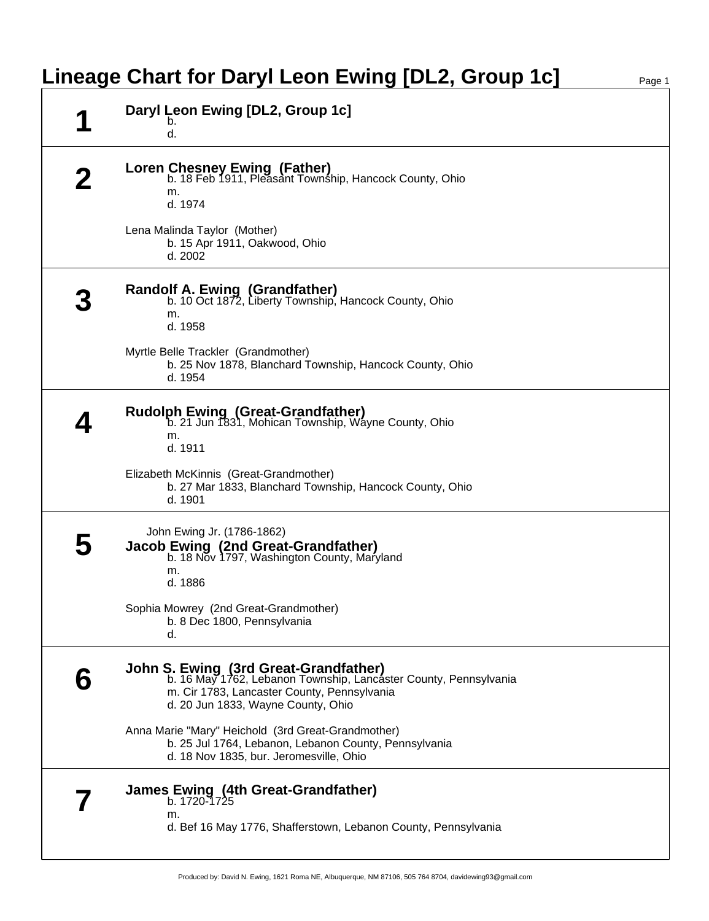## **Lineage Chart for Daryl Leon Ewing [DL2, Group 1c]**

|   | Daryl Leon Ewing [DL2, Group 1c]<br>b.<br>d.                                                                                                                                                          |
|---|-------------------------------------------------------------------------------------------------------------------------------------------------------------------------------------------------------|
|   | <b>Loren Chesney Ewing (Father)</b><br>b. 18 Feb 1911, Pleasant Township, Hancock County, Ohio<br>m.<br>d. 1974                                                                                       |
|   | Lena Malinda Taylor (Mother)<br>b. 15 Apr 1911, Oakwood, Ohio<br>d. 2002                                                                                                                              |
|   | <b>Randolf A. Ewing (Grandfather)</b><br>b. 10 Oct 1872, Liberty Township, Hancock County, Ohio<br>m.<br>d. 1958                                                                                      |
|   | Myrtle Belle Trackler (Grandmother)<br>b. 25 Nov 1878, Blanchard Township, Hancock County, Ohio<br>d. 1954                                                                                            |
|   | <b>Rudolph Ewing (Great-Grandfather)</b><br>b. 21 Jun 1831, Mohican Township, Wayne County, Ohio<br>m.<br>d. 1911                                                                                     |
|   | Elizabeth McKinnis (Great-Grandmother)<br>b. 27 Mar 1833, Blanchard Township, Hancock County, Ohio<br>d. 1901                                                                                         |
| b | John Ewing Jr. (1786-1862)<br>Jacob Ewing (2nd Great-Grandfather)<br>b. 18 Nov 1797, Washington County, Maryland<br>m.<br>d. 1886                                                                     |
|   | Sophia Mowrey (2nd Great-Grandmother)<br>b. 8 Dec 1800, Pennsylvania<br>d.                                                                                                                            |
| h | <b>John S. Ewing (3rd Great-Grandfather)</b><br>b. 16 May 1762, Lebanon Township, Lancaster County, Pennsylvania<br>m. Cir 1783, Lancaster County, Pennsylvania<br>d. 20 Jun 1833, Wayne County, Ohio |
|   | Anna Marie "Mary" Heichold (3rd Great-Grandmother)<br>b. 25 Jul 1764, Lebanon, Lebanon County, Pennsylvania<br>d. 18 Nov 1835, bur. Jeromesville, Ohio                                                |
|   | James Ewing (4th Great-Grandfather)<br>b. 1720-1725<br>m.<br>d. Bef 16 May 1776, Shafferstown, Lebanon County, Pennsylvania                                                                           |
|   |                                                                                                                                                                                                       |